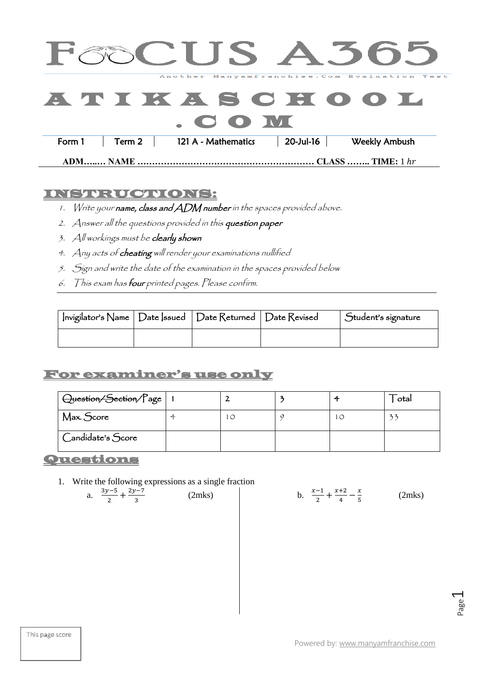|                                                                                                                                                                                                                                                                                |        |                     |           | FOOC US A 505                                |  |
|--------------------------------------------------------------------------------------------------------------------------------------------------------------------------------------------------------------------------------------------------------------------------------|--------|---------------------|-----------|----------------------------------------------|--|
|                                                                                                                                                                                                                                                                                |        |                     |           | Another Manyamfranchise. Com Evaluation Test |  |
|                                                                                                                                                                                                                                                                                |        |                     |           | ATICANSCHOOL                                 |  |
| $\sim$ 000 $\sim$ 000 $\sim$ 000 $\sim$ 000 $\sim$ 000 $\sim$ 000 $\sim$ 000 $\sim$ 000 $\sim$ 000 $\sim$ 000 $\sim$ 000 $\sim$ 000 $\sim$ 000 $\sim$ 000 $\sim$ 000 $\sim$ 000 $\sim$ 000 $\sim$ 000 $\sim$ 000 $\sim$ 000 $\sim$ 000 $\sim$ 000 $\sim$ 000 $\sim$ 000 $\sim$ |        |                     |           |                                              |  |
| Form 1                                                                                                                                                                                                                                                                         | Term 2 | 121 A - Mathematics | 20-Jul-16 | Weekly Ambush                                |  |
|                                                                                                                                                                                                                                                                                |        |                     |           |                                              |  |

**ADM…..… NAME …………………………………………………… CLASS …….. TIME:** 1

## INSTRUCTIONS:

- 1. Write your name, class and ADM number in the spaces provided above.
- 2. Answer all the questions provided in this question paper
- 3. All workings must be clearly shown
- 4. Any acts of cheating will render your examinations nullified
- 5. Sign and write the date of the examination in the spaces provided below
- 6. This exam has four printed pages. Please confirm.

| Invigilator's Name   Date   ssued   Date Returned   Date Revised |  | $\int$ Student's signature |
|------------------------------------------------------------------|--|----------------------------|
|                                                                  |  |                            |

## For examiner's use only

| Question/Section/Page |              |  | otal |
|-----------------------|--------------|--|------|
| Max. Score            | <sup>L</sup> |  |      |
| Candidate's Score     |              |  |      |

Questions

a.  $\frac{3}{4}$  $\overline{\mathbf{c}}$ 

1. Write the following expressions as a single fraction

$$
\frac{5}{3} + \frac{2y - 7}{3} \tag{2m}
$$

| (2mks) |  | $\frac{x-1}{1} + \frac{x+2}{1} - \frac{x}{1}$ |  |  | (2mks) |
|--------|--|-----------------------------------------------|--|--|--------|
|--------|--|-----------------------------------------------|--|--|--------|

Page  $\overline{\phantom{0}}$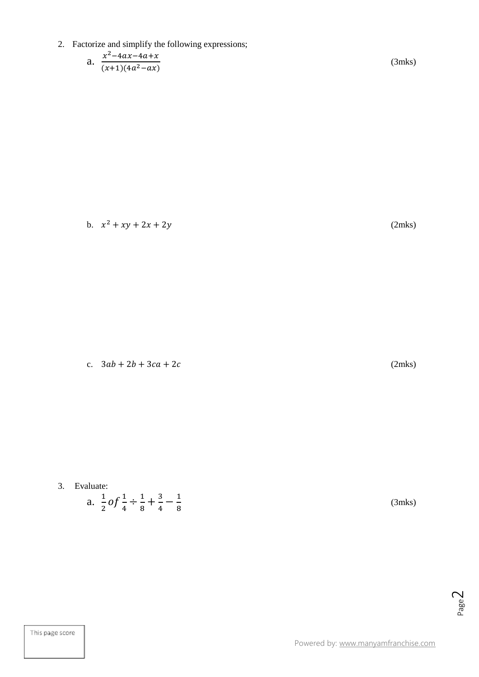- 2. Factorize and simplify the following expressions;
	- a.  $\frac{x^2}{\sqrt{2}}$  $\overline{\phantom{a}}$

(3mks)

b.  $x^2 + xy + 2x + 2y$  (2mks)

c.  $3ab + 2b + 3ca + 2c$  (2mks)

3. Evaluate:

a. 
$$
\frac{1}{2} \cdot 0 \cdot \frac{1}{4} \div \frac{1}{8} + \frac{3}{4} - \frac{1}{8}
$$

(3mks)

Page  $\overline{\curvearrowright}$ 

This page score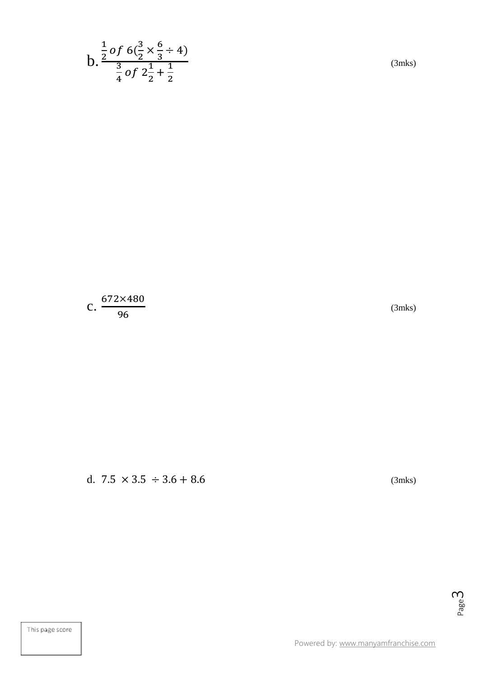b. 
$$
\frac{\frac{1}{2} of 6(\frac{3}{2} \times \frac{6}{3} \div 4)}{\frac{3}{4} of 2\frac{1}{2} + \frac{1}{2}}
$$

(3mks)

$$
c.\frac{672\times480}{96}
$$

(3mks)

d.  $7.5 \times 3.5 \div 3.6 + 8.6$  (3mks)

Page ന